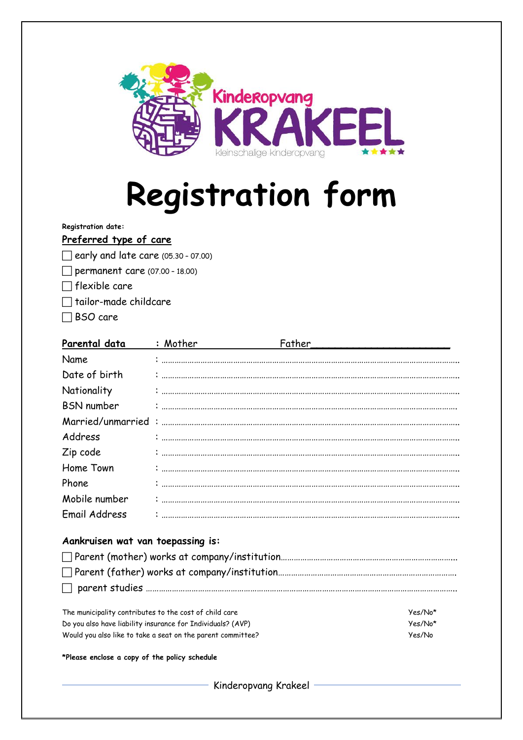

# **Registration form**

**Registration date:**

#### **Preferred type of care**

- $\Box$  early and late care  $(05.30 07.00)$
- $\Box$  permanent care (07.00 18.00)
- $\Box$  flexible care
- $\Box$  tailor-made childcare
- BSO care

| Parental data                                               | : Mother | Father               |         |
|-------------------------------------------------------------|----------|----------------------|---------|
| Name                                                        |          |                      |         |
| Date of birth                                               |          |                      |         |
| Nationality                                                 |          |                      |         |
| <b>BSN</b> number                                           |          |                      |         |
| Married/unmarried                                           |          |                      |         |
| Address                                                     |          |                      |         |
| Zip code                                                    |          |                      |         |
| Home Town                                                   |          |                      |         |
| Phone                                                       |          |                      |         |
| Mobile number                                               |          |                      |         |
| <b>Email Address</b>                                        |          |                      |         |
| Aankruisen wat van toepassing is:                           |          |                      |         |
|                                                             |          |                      |         |
|                                                             |          |                      |         |
| The municipality contributes to the cost of child care      |          |                      | Yes/No* |
| Do you also have liability insurance for Individuals? (AVP) |          |                      | Yes/No* |
| Would you also like to take a seat on the parent committee? |          |                      | Yes/No  |
| *Please enclose a copy of the policy schedule               |          |                      |         |
|                                                             |          | Kinderopvang Krakeel |         |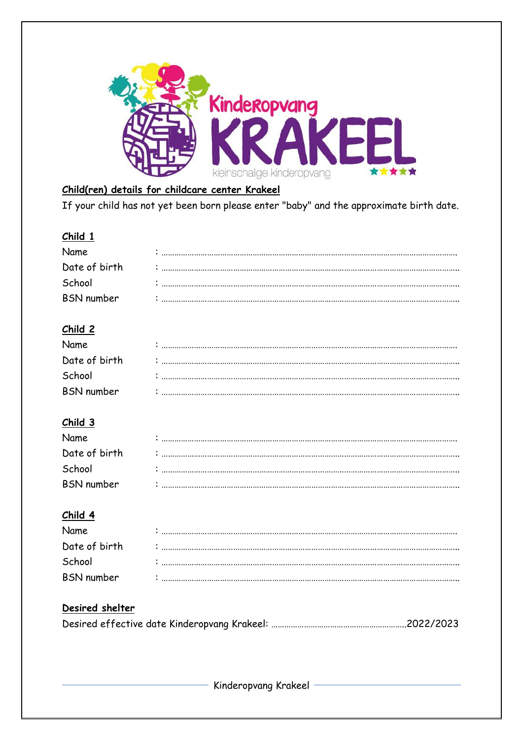

## Child(ren) details for childcare center Krakeel

If your child has not yet been born please enter "baby" and the approximate birth date.

#### Child 1

| Name              |  |
|-------------------|--|
| Date of birth     |  |
| School            |  |
| <b>BSN</b> number |  |

## Child 2

| Name              |                                                                                                                         |
|-------------------|-------------------------------------------------------------------------------------------------------------------------|
| Date of birth     | $\mathcal{L}_{\text{invariant}}$ . The component component constraint component component component component component |
| School            |                                                                                                                         |
| <b>BSN</b> number |                                                                                                                         |

#### $Child 3$

| Name              |  |
|-------------------|--|
| Date of birth     |  |
| School            |  |
| <b>BSN</b> number |  |

#### Child 4

| Name              |  |
|-------------------|--|
| Date of birth     |  |
| School            |  |
| <b>BSN</b> number |  |

## Desired shelter

Kinderopvang Krakeel -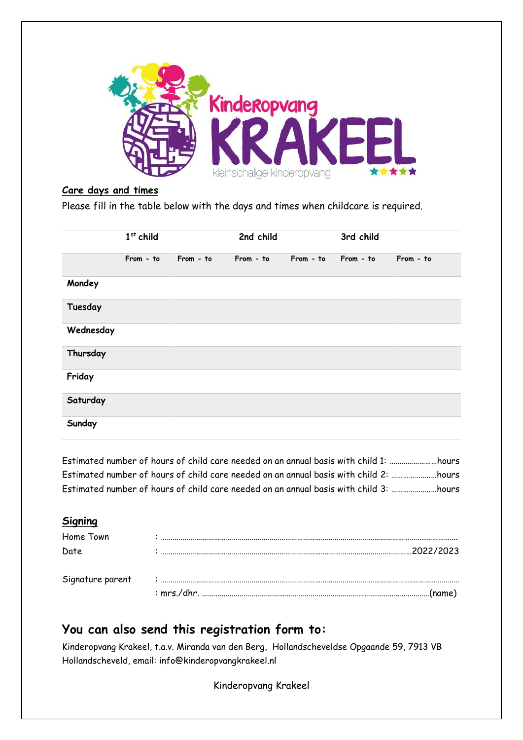

#### **Care days and times**

Please fill in the table below with the days and times when childcare is required.

|           | $1st$ child |           | 2nd child |           | 3rd child |           |
|-----------|-------------|-----------|-----------|-----------|-----------|-----------|
|           | From - to   | From - to | From - to | From - to | From - to | From - to |
| Mondey    |             |           |           |           |           |           |
| Tuesday   |             |           |           |           |           |           |
| Wednesday |             |           |           |           |           |           |
| Thursday  |             |           |           |           |           |           |
| Friday    |             |           |           |           |           |           |
| Saturday  |             |           |           |           |           |           |
| Sunday    |             |           |           |           |           |           |

Estimated number of hours of child care needed on an annual basis with child 1: ……………………hours Estimated number of hours of child care needed on an annual basis with child 2: ………………..…hours Estimated number of hours of child care needed on an annual basis with child 3: ………………..…hours

#### **Signing**

| Home Town        |  |
|------------------|--|
| Date             |  |
| Signature parent |  |
|                  |  |

# **You can also send this registration form to:**

Kinderopvang Krakeel, t.a.v. Miranda van den Berg, Hollandscheveldse Opgaande 59, 7913 VB Hollandscheveld, email: info@kinderopvangkrakeel.nl

Kinderopvang Krakeel